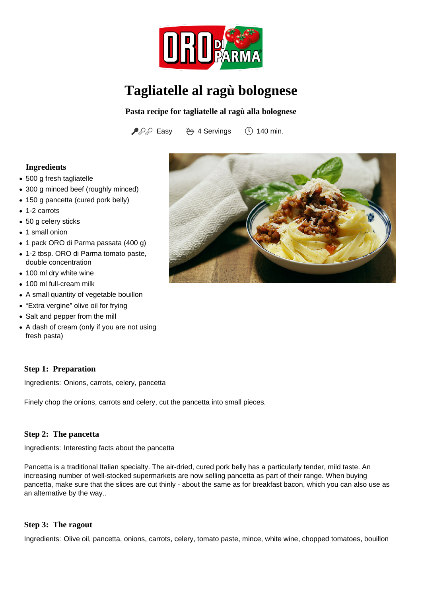

# **Tagliatelle al ragù bolognese**

**Pasta recipe for tagliatelle al ragù alla bolognese**

 $PPP$  Easy  $\rightarrow$  4 Servings (140 min.

## **Ingredients**

- 500 g fresh tagliatelle
- 300 g minced beef (roughly minced)
- 150 g pancetta (cured pork belly)
- 1-2 carrots
- 50 g celery sticks
- 1 small onion
- 1 pack ORO di Parma passata (400 g)
- 1-2 tbsp. ORO di Parma tomato paste, double concentration
- 100 ml dry white wine
- 100 ml full-cream milk
- A small quantity of vegetable bouillon
- "Extra vergine" olive oil for frying
- Salt and pepper from the mill
- A dash of cream (only if you are not using fresh pasta)

#### **Step 1: Preparation**

Ingredients: Onions, carrots, celery, pancetta

Finely chop the onions, carrots and celery, cut the pancetta into small pieces.

#### **Step 2: The pancetta**

Ingredients: Interesting facts about the pancetta

Pancetta is a traditional Italian specialty. The air-dried, cured pork belly has a particularly tender, mild taste. An increasing number of well-stocked supermarkets are now selling pancetta as part of their range. When buying pancetta, make sure that the slices are cut thinly - about the same as for breakfast bacon, which you can also use as an alternative by the way..

#### **Step 3: The ragout**

Ingredients: Olive oil, pancetta, onions, carrots, celery, tomato paste, mince, white wine, chopped tomatoes, bouillon